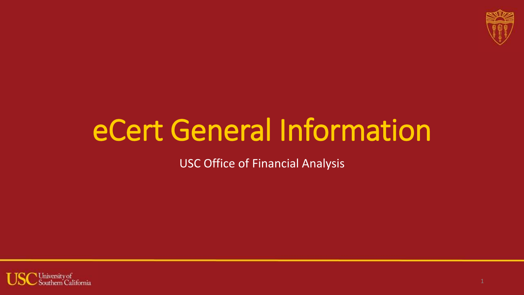

# eCert General Information

USC Office of Financial Analysis

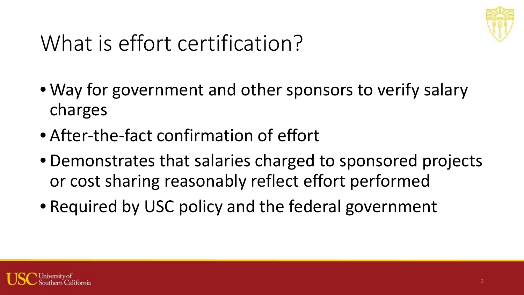

## What is effort certification?

- Way for government and other sponsors to verify salary charges
- After-the-fact confirmation of effort
- Demonstrates that salaries charged to sponsored projects or cost sharing reasonably reflect effort performed
- Required by USC policy and the federal government

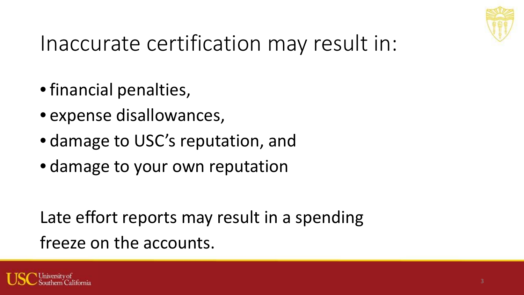

## Inaccurate certification may result in:

- financial penalties,
- expense disallowances,
- damage to USC's reputation, and
- damage to your own reputation

Late effort reports may result in a spending freeze on the accounts.

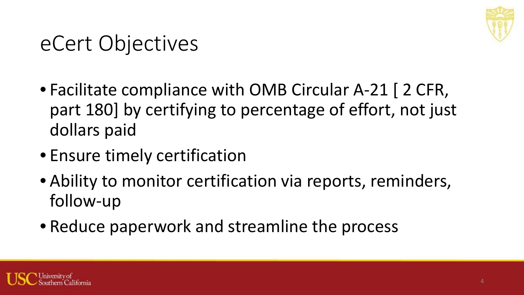

## eCert Objectives

- Facilitate compliance with OMB Circular A-21 [ 2 CFR, part 180] by certifying to percentage of effort, not just dollars paid
- Ensure timely certification
- Ability to monitor certification via reports, reminders, follow-up
- Reduce paperwork and streamline the process

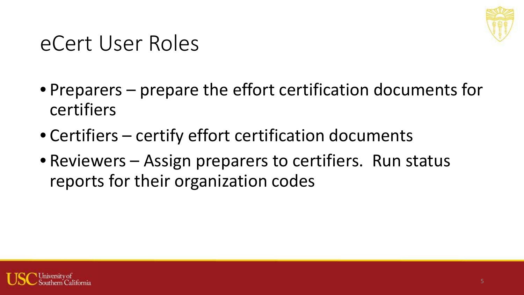

#### eCert User Roles

- Preparers prepare the effort certification documents for certifiers
- Certifiers certify effort certification documents
- Reviewers Assign preparers to certifiers. Run status reports for their organization codes

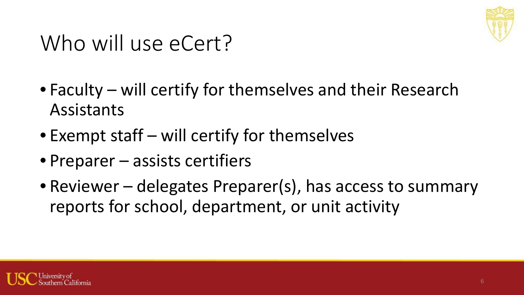

## Who will use eCert?

- Faculty will certify for themselves and their Research Assistants
- Exempt staff will certify for themselves
- Preparer assists certifiers
- Reviewer delegates Preparer(s), has access to summary reports for school, department, or unit activity

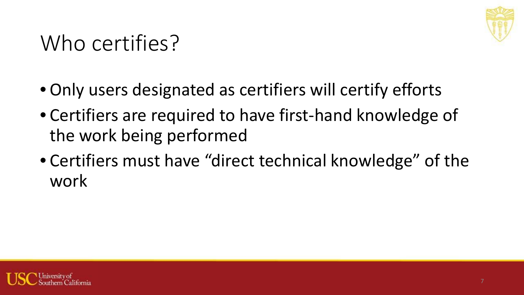

## Who certifies?

- Only users designated as certifiers will certify efforts
- Certifiers are required to have first-hand knowledge of the work being performed
- Certifiers must have "direct technical knowledge" of the work

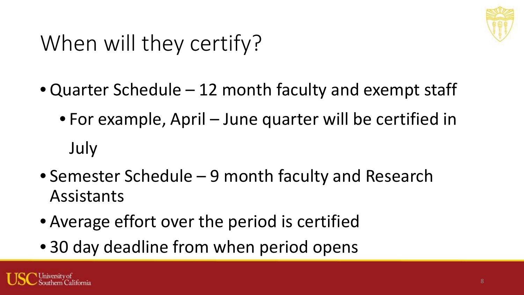

# When will they certify?

- Quarter Schedule 12 month faculty and exempt staff
	- For example, April June quarter will be certified in July
- Semester Schedule 9 month faculty and Research Assistants
- Average effort over the period is certified
- 30 day deadline from when period opens

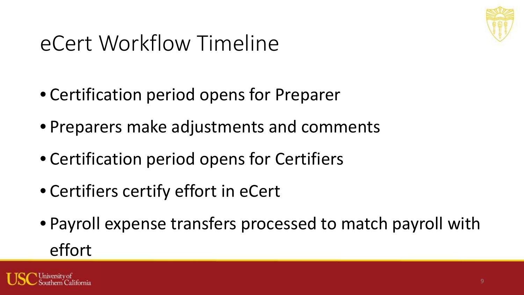

## eCert Workflow Timeline

- Certification period opens for Preparer
- Preparers make adjustments and comments
- Certification period opens for Certifiers
- Certifiers certify effort in eCert
- Payroll expense transfers processed to match payroll with effort

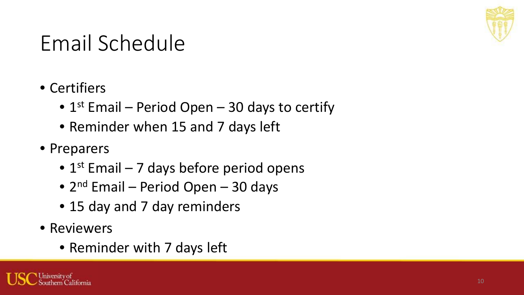

### Email Schedule

- Certifiers
	- $1<sup>st</sup>$  Email Period Open 30 days to certify
	- Reminder when 15 and 7 days left
- Preparers
	- $1<sup>st</sup>$  Email 7 days before period opens
	- $2^{nd}$  Email Period Open 30 days
	- 15 day and 7 day reminders
- Reviewers
	- Reminder with 7 days left

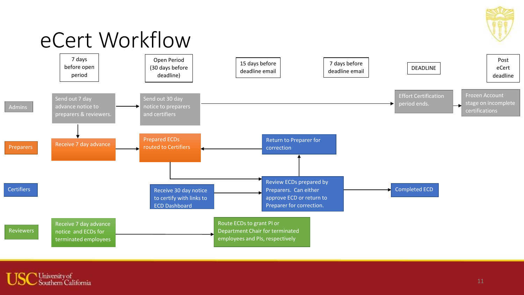

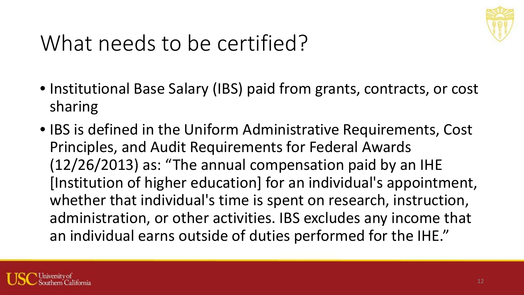

## What needs to be certified?

- Institutional Base Salary (IBS) paid from grants, contracts, or cost sharing
- IBS is defined in the Uniform Administrative Requirements, Cost Principles, and Audit Requirements for Federal Awards (12/26/2013) as: "The annual compensation paid by an IHE [Institution of higher education] for an individual's appointment, whether that individual's time is spent on research, instruction, administration, or other activities. IBS excludes any income that an individual earns outside of duties performed for the IHE."

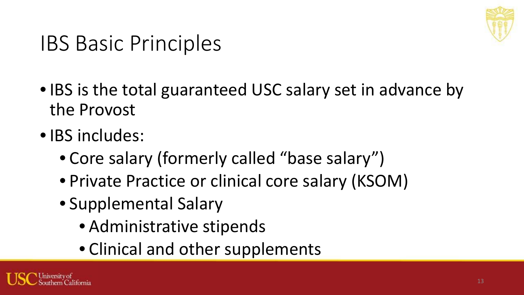

#### IBS Basic Principles

- IBS is the total guaranteed USC salary set in advance by the Provost
- IBS includes:
	- Core salary (formerly called "base salary")
	- Private Practice or clinical core salary (KSOM)
	- Supplemental Salary
		- Administrative stipends
		- Clinical and other supplements

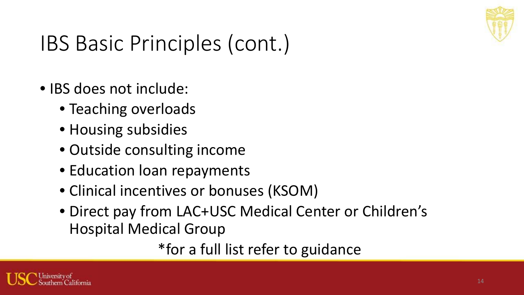

## IBS Basic Principles (cont.)

- IBS does not include:
	- Teaching overloads
	- Housing subsidies
	- Outside consulting income
	- Education loan repayments
	- Clinical incentives or bonuses (KSOM)
	- Direct pay from LAC+USC Medical Center or Children's Hospital Medical Group

\*for a full list refer to guidance

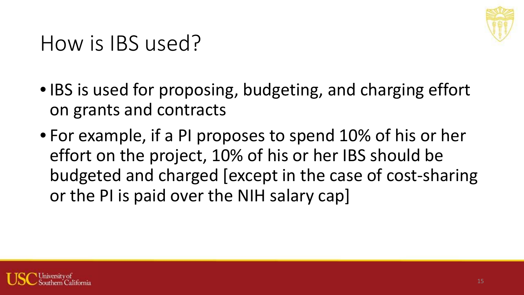

#### How is IBS used?

- IBS is used for proposing, budgeting, and charging effort on grants and contracts
- For example, if a PI proposes to spend 10% of his or her effort on the project, 10% of his or her IBS should be budgeted and charged [except in the case of cost-sharing or the PI is paid over the NIH salary cap]

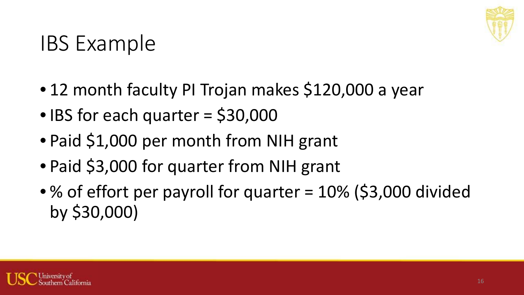

## IBS Example

- 12 month faculty PI Trojan makes \$120,000 a year
- IBS for each quarter = \$30,000
- Paid \$1,000 per month from NIH grant
- Paid \$3,000 for quarter from NIH grant
- % of effort per payroll for quarter = 10% (\$3,000 divided by \$30,000)

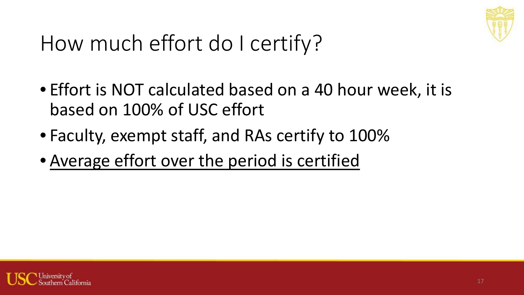

## How much effort do I certify?

- Effort is NOT calculated based on a 40 hour week, it is based on 100% of USC effort
- Faculty, exempt staff, and RAs certify to 100%
- Average effort over the period is certified

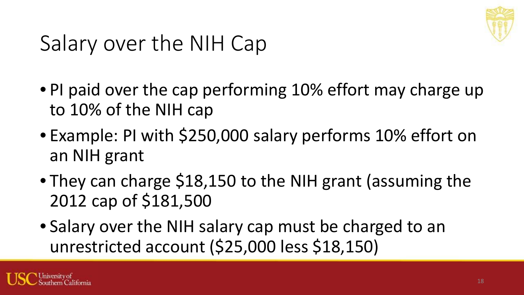

## Salary over the NIH Cap

- PI paid over the cap performing 10% effort may charge up to 10% of the NIH cap
- Example: PI with \$250,000 salary performs 10% effort on an NIH grant
- They can charge \$18,150 to the NIH grant (assuming the 2012 cap of \$181,500
- Salary over the NIH salary cap must be charged to an unrestricted account (\$25,000 less \$18,150)

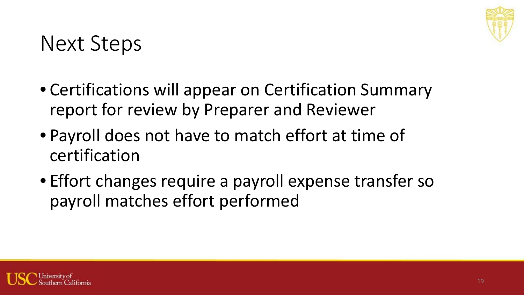

#### Next Steps

- Certifications will appear on Certification Summary report for review by Preparer and Reviewer
- Payroll does not have to match effort at time of certification
- Effort changes require a payroll expense transfer so payroll matches effort performed